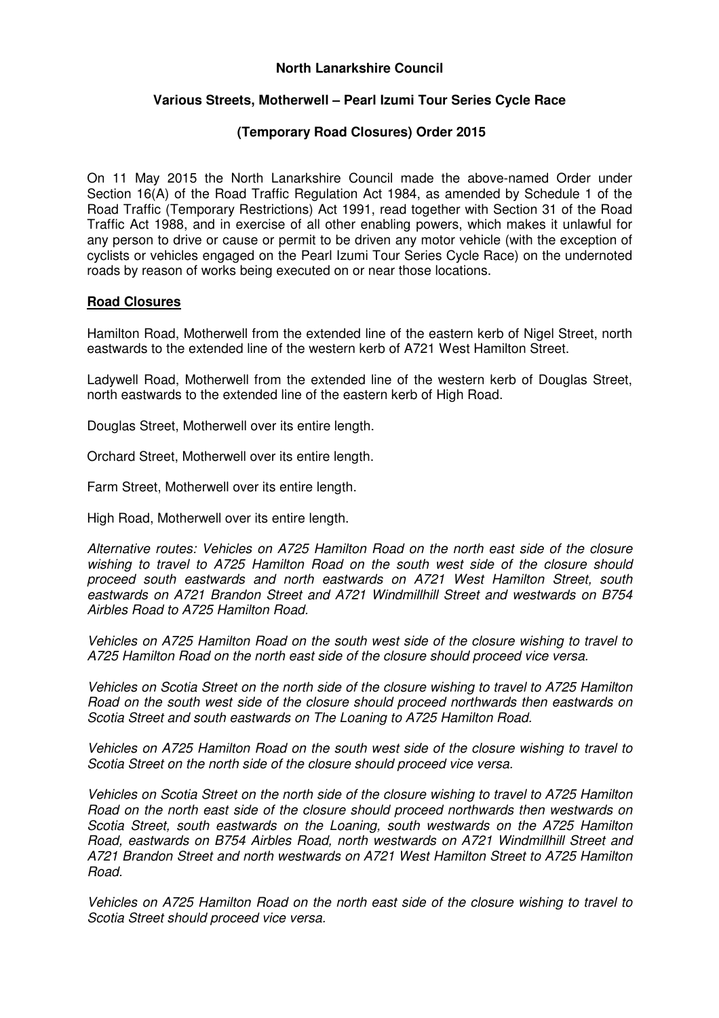# **North Lanarkshire Council**

# **Various Streets, Motherwell – Pearl Izumi Tour Series Cycle Race**

# **(Temporary Road Closures) Order 2015**

On 11 May 2015 the North Lanarkshire Council made the above-named Order under Section 16(A) of the Road Traffic Regulation Act 1984, as amended by Schedule 1 of the Road Traffic (Temporary Restrictions) Act 1991, read together with Section 31 of the Road Traffic Act 1988, and in exercise of all other enabling powers, which makes it unlawful for any person to drive or cause or permit to be driven any motor vehicle (with the exception of cyclists or vehicles engaged on the Pearl Izumi Tour Series Cycle Race) on the undernoted roads by reason of works being executed on or near those locations.

# **Road Closures**

Hamilton Road, Motherwell from the extended line of the eastern kerb of Nigel Street, north eastwards to the extended line of the western kerb of A721 West Hamilton Street.

Ladywell Road, Motherwell from the extended line of the western kerb of Douglas Street, north eastwards to the extended line of the eastern kerb of High Road.

Douglas Street, Motherwell over its entire length.

Orchard Street, Motherwell over its entire length.

Farm Street, Motherwell over its entire length.

High Road, Motherwell over its entire length.

Alternative routes: Vehicles on A725 Hamilton Road on the north east side of the closure wishing to travel to A725 Hamilton Road on the south west side of the closure should proceed south eastwards and north eastwards on A721 West Hamilton Street, south eastwards on A721 Brandon Street and A721 Windmillhill Street and westwards on B754 Airbles Road to A725 Hamilton Road.

Vehicles on A725 Hamilton Road on the south west side of the closure wishing to travel to A725 Hamilton Road on the north east side of the closure should proceed vice versa.

Vehicles on Scotia Street on the north side of the closure wishing to travel to A725 Hamilton Road on the south west side of the closure should proceed northwards then eastwards on Scotia Street and south eastwards on The Loaning to A725 Hamilton Road.

Vehicles on A725 Hamilton Road on the south west side of the closure wishing to travel to Scotia Street on the north side of the closure should proceed vice versa.

Vehicles on Scotia Street on the north side of the closure wishing to travel to A725 Hamilton Road on the north east side of the closure should proceed northwards then westwards on Scotia Street, south eastwards on the Loaning, south westwards on the A725 Hamilton Road, eastwards on B754 Airbles Road, north westwards on A721 Windmillhill Street and A721 Brandon Street and north westwards on A721 West Hamilton Street to A725 Hamilton Road.

Vehicles on A725 Hamilton Road on the north east side of the closure wishing to travel to Scotia Street should proceed vice versa.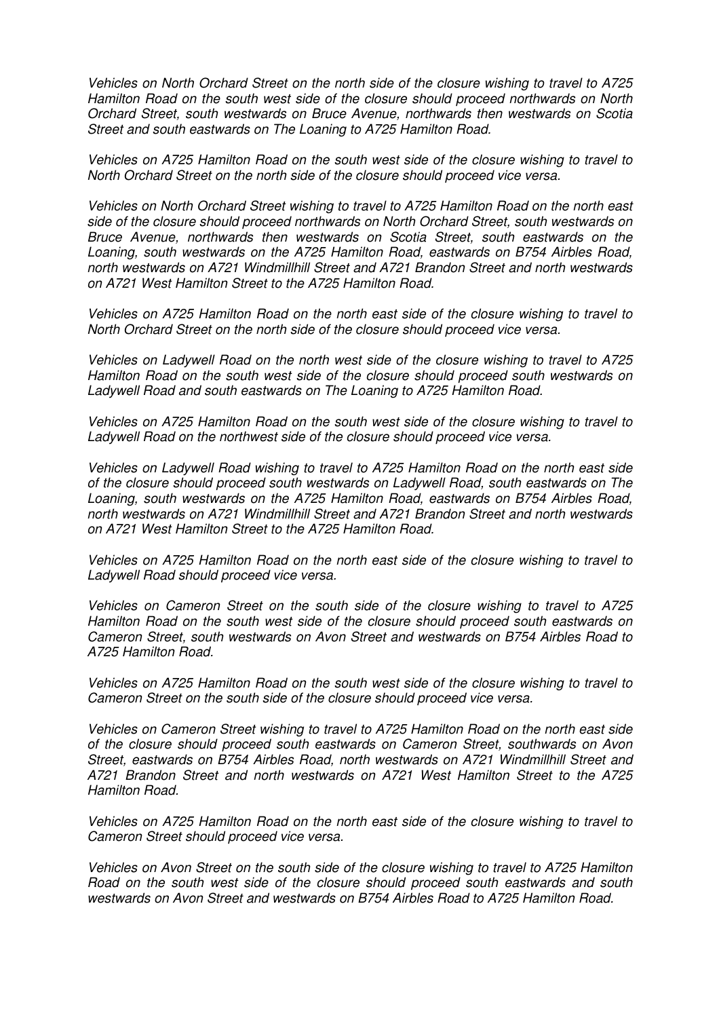Vehicles on North Orchard Street on the north side of the closure wishing to travel to A725 Hamilton Road on the south west side of the closure should proceed northwards on North Orchard Street, south westwards on Bruce Avenue, northwards then westwards on Scotia Street and south eastwards on The Loaning to A725 Hamilton Road.

Vehicles on A725 Hamilton Road on the south west side of the closure wishing to travel to North Orchard Street on the north side of the closure should proceed vice versa.

Vehicles on North Orchard Street wishing to travel to A725 Hamilton Road on the north east side of the closure should proceed northwards on North Orchard Street, south westwards on Bruce Avenue, northwards then westwards on Scotia Street, south eastwards on the Loaning, south westwards on the A725 Hamilton Road, eastwards on B754 Airbles Road, north westwards on A721 Windmillhill Street and A721 Brandon Street and north westwards on A721 West Hamilton Street to the A725 Hamilton Road.

Vehicles on A725 Hamilton Road on the north east side of the closure wishing to travel to North Orchard Street on the north side of the closure should proceed vice versa.

Vehicles on Ladywell Road on the north west side of the closure wishing to travel to A725 Hamilton Road on the south west side of the closure should proceed south westwards on Ladywell Road and south eastwards on The Loaning to A725 Hamilton Road.

Vehicles on A725 Hamilton Road on the south west side of the closure wishing to travel to Ladywell Road on the northwest side of the closure should proceed vice versa.

Vehicles on Ladywell Road wishing to travel to A725 Hamilton Road on the north east side of the closure should proceed south westwards on Ladywell Road, south eastwards on The Loaning, south westwards on the A725 Hamilton Road, eastwards on B754 Airbles Road, north westwards on A721 Windmillhill Street and A721 Brandon Street and north westwards on A721 West Hamilton Street to the A725 Hamilton Road.

Vehicles on A725 Hamilton Road on the north east side of the closure wishing to travel to Ladywell Road should proceed vice versa.

Vehicles on Cameron Street on the south side of the closure wishing to travel to A725 Hamilton Road on the south west side of the closure should proceed south eastwards on Cameron Street, south westwards on Avon Street and westwards on B754 Airbles Road to A725 Hamilton Road.

Vehicles on A725 Hamilton Road on the south west side of the closure wishing to travel to Cameron Street on the south side of the closure should proceed vice versa.

Vehicles on Cameron Street wishing to travel to A725 Hamilton Road on the north east side of the closure should proceed south eastwards on Cameron Street, southwards on Avon Street, eastwards on B754 Airbles Road, north westwards on A721 Windmillhill Street and A721 Brandon Street and north westwards on A721 West Hamilton Street to the A725 Hamilton Road.

Vehicles on A725 Hamilton Road on the north east side of the closure wishing to travel to Cameron Street should proceed vice versa.

Vehicles on Avon Street on the south side of the closure wishing to travel to A725 Hamilton Road on the south west side of the closure should proceed south eastwards and south westwards on Avon Street and westwards on B754 Airbles Road to A725 Hamilton Road.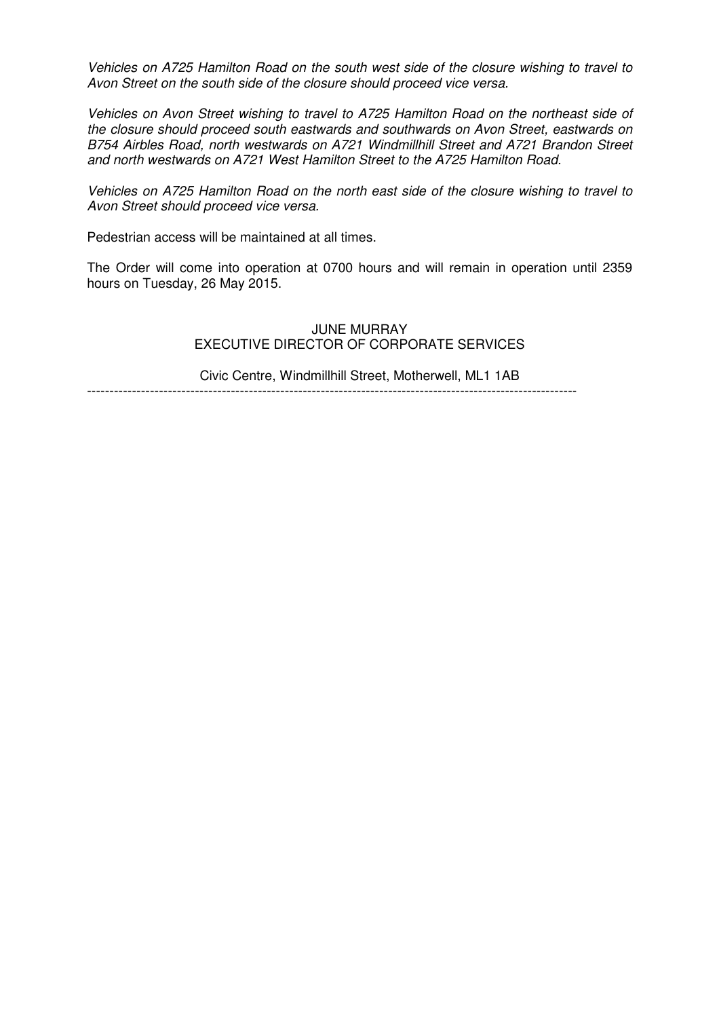Vehicles on A725 Hamilton Road on the south west side of the closure wishing to travel to Avon Street on the south side of the closure should proceed vice versa.

Vehicles on Avon Street wishing to travel to A725 Hamilton Road on the northeast side of the closure should proceed south eastwards and southwards on Avon Street, eastwards on B754 Airbles Road, north westwards on A721 Windmillhill Street and A721 Brandon Street and north westwards on A721 West Hamilton Street to the A725 Hamilton Road.

Vehicles on A725 Hamilton Road on the north east side of the closure wishing to travel to Avon Street should proceed vice versa.

Pedestrian access will be maintained at all times.

The Order will come into operation at 0700 hours and will remain in operation until 2359 hours on Tuesday, 26 May 2015.

> JUNE MURRAY EXECUTIVE DIRECTOR OF CORPORATE SERVICES

> Civic Centre, Windmillhill Street, Motherwell, ML1 1AB

-------------------------------------------------------------------------------------------------------------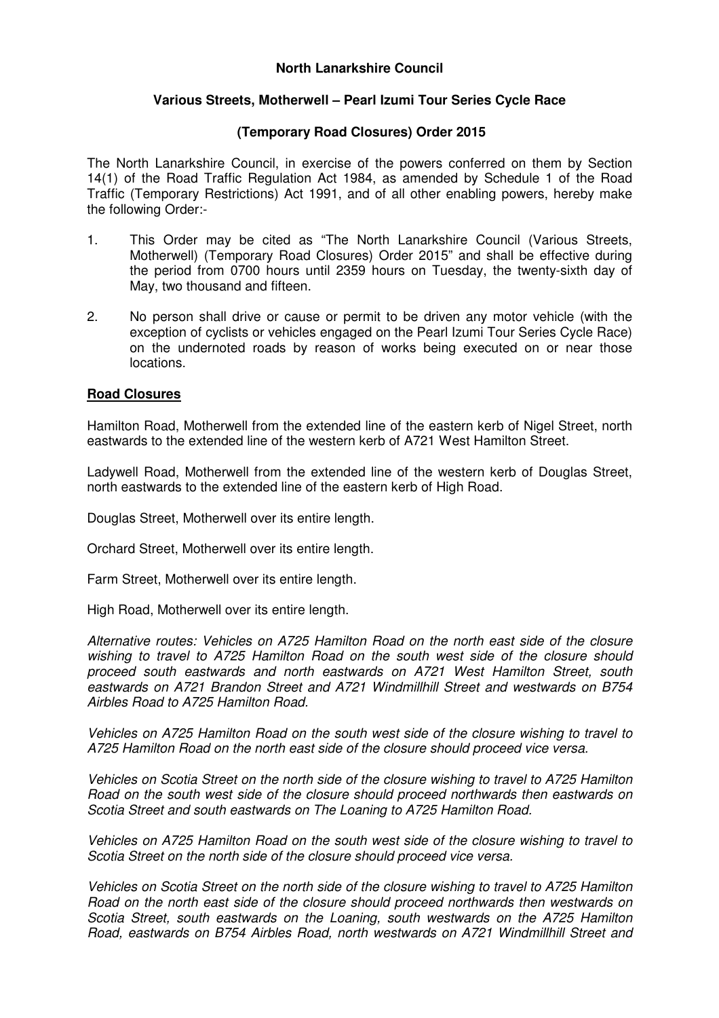# **North Lanarkshire Council**

## **Various Streets, Motherwell – Pearl Izumi Tour Series Cycle Race**

## **(Temporary Road Closures) Order 2015**

The North Lanarkshire Council, in exercise of the powers conferred on them by Section 14(1) of the Road Traffic Regulation Act 1984, as amended by Schedule 1 of the Road Traffic (Temporary Restrictions) Act 1991, and of all other enabling powers, hereby make the following Order:-

- 1. This Order may be cited as "The North Lanarkshire Council (Various Streets, Motherwell) (Temporary Road Closures) Order 2015" and shall be effective during the period from 0700 hours until 2359 hours on Tuesday, the twenty-sixth day of May, two thousand and fifteen.
- 2. No person shall drive or cause or permit to be driven any motor vehicle (with the exception of cyclists or vehicles engaged on the Pearl Izumi Tour Series Cycle Race) on the undernoted roads by reason of works being executed on or near those locations.

#### **Road Closures**

Hamilton Road, Motherwell from the extended line of the eastern kerb of Nigel Street, north eastwards to the extended line of the western kerb of A721 West Hamilton Street.

Ladywell Road, Motherwell from the extended line of the western kerb of Douglas Street, north eastwards to the extended line of the eastern kerb of High Road.

Douglas Street, Motherwell over its entire length.

Orchard Street, Motherwell over its entire length.

Farm Street, Motherwell over its entire length.

High Road, Motherwell over its entire length.

Alternative routes: Vehicles on A725 Hamilton Road on the north east side of the closure wishing to travel to A725 Hamilton Road on the south west side of the closure should proceed south eastwards and north eastwards on A721 West Hamilton Street, south eastwards on A721 Brandon Street and A721 Windmillhill Street and westwards on B754 Airbles Road to A725 Hamilton Road.

Vehicles on A725 Hamilton Road on the south west side of the closure wishing to travel to A725 Hamilton Road on the north east side of the closure should proceed vice versa.

Vehicles on Scotia Street on the north side of the closure wishing to travel to A725 Hamilton Road on the south west side of the closure should proceed northwards then eastwards on Scotia Street and south eastwards on The Loaning to A725 Hamilton Road.

Vehicles on A725 Hamilton Road on the south west side of the closure wishing to travel to Scotia Street on the north side of the closure should proceed vice versa.

Vehicles on Scotia Street on the north side of the closure wishing to travel to A725 Hamilton Road on the north east side of the closure should proceed northwards then westwards on Scotia Street, south eastwards on the Loaning, south westwards on the A725 Hamilton Road, eastwards on B754 Airbles Road, north westwards on A721 Windmillhill Street and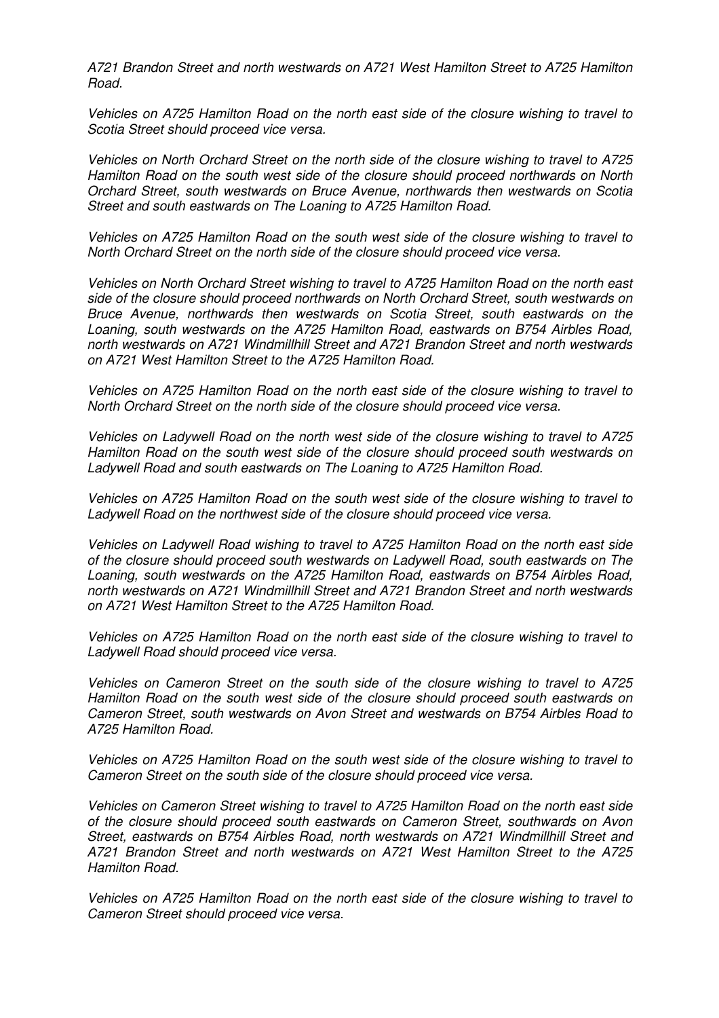A721 Brandon Street and north westwards on A721 West Hamilton Street to A725 Hamilton Road.

Vehicles on A725 Hamilton Road on the north east side of the closure wishing to travel to Scotia Street should proceed vice versa.

Vehicles on North Orchard Street on the north side of the closure wishing to travel to A725 Hamilton Road on the south west side of the closure should proceed northwards on North Orchard Street, south westwards on Bruce Avenue, northwards then westwards on Scotia Street and south eastwards on The Loaning to A725 Hamilton Road.

Vehicles on A725 Hamilton Road on the south west side of the closure wishing to travel to North Orchard Street on the north side of the closure should proceed vice versa.

Vehicles on North Orchard Street wishing to travel to A725 Hamilton Road on the north east side of the closure should proceed northwards on North Orchard Street, south westwards on Bruce Avenue, northwards then westwards on Scotia Street, south eastwards on the Loaning, south westwards on the A725 Hamilton Road, eastwards on B754 Airbles Road, north westwards on A721 Windmillhill Street and A721 Brandon Street and north westwards on A721 West Hamilton Street to the A725 Hamilton Road.

Vehicles on A725 Hamilton Road on the north east side of the closure wishing to travel to North Orchard Street on the north side of the closure should proceed vice versa.

Vehicles on Ladywell Road on the north west side of the closure wishing to travel to A725 Hamilton Road on the south west side of the closure should proceed south westwards on Ladywell Road and south eastwards on The Loaning to A725 Hamilton Road.

Vehicles on A725 Hamilton Road on the south west side of the closure wishing to travel to Ladywell Road on the northwest side of the closure should proceed vice versa.

Vehicles on Ladywell Road wishing to travel to A725 Hamilton Road on the north east side of the closure should proceed south westwards on Ladywell Road, south eastwards on The Loaning, south westwards on the A725 Hamilton Road, eastwards on B754 Airbles Road, north westwards on A721 Windmillhill Street and A721 Brandon Street and north westwards on A721 West Hamilton Street to the A725 Hamilton Road.

Vehicles on A725 Hamilton Road on the north east side of the closure wishing to travel to Ladywell Road should proceed vice versa.

Vehicles on Cameron Street on the south side of the closure wishing to travel to A725 Hamilton Road on the south west side of the closure should proceed south eastwards on Cameron Street, south westwards on Avon Street and westwards on B754 Airbles Road to A725 Hamilton Road.

Vehicles on A725 Hamilton Road on the south west side of the closure wishing to travel to Cameron Street on the south side of the closure should proceed vice versa.

Vehicles on Cameron Street wishing to travel to A725 Hamilton Road on the north east side of the closure should proceed south eastwards on Cameron Street, southwards on Avon Street, eastwards on B754 Airbles Road, north westwards on A721 Windmillhill Street and A721 Brandon Street and north westwards on A721 West Hamilton Street to the A725 Hamilton Road.

Vehicles on A725 Hamilton Road on the north east side of the closure wishing to travel to Cameron Street should proceed vice versa.